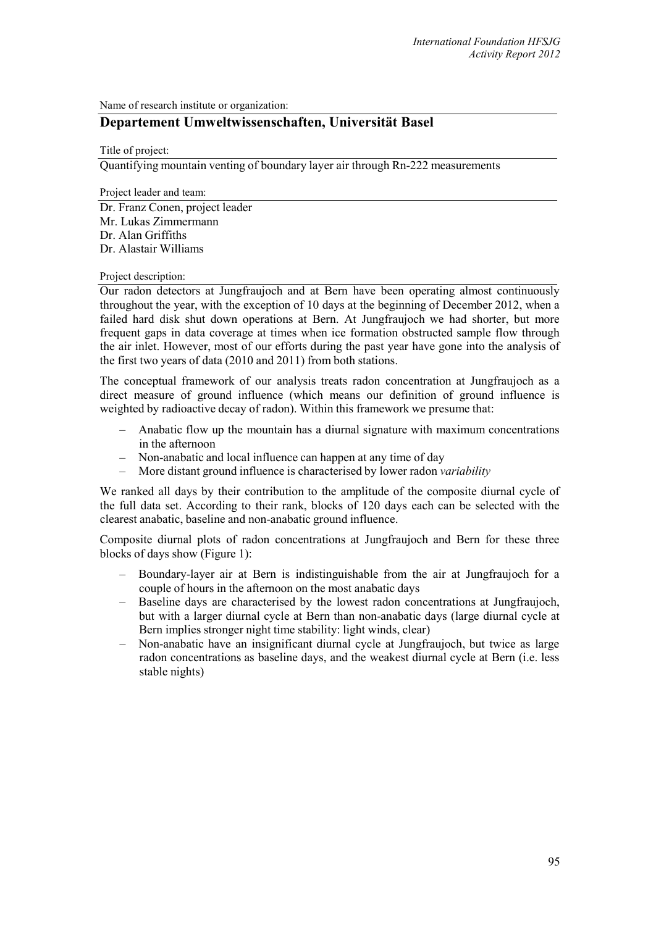Name of research institute or organization:

## **Departement Umweltwissenschaften, Universität Basel**

Title of project:

Quantifying mountain venting of boundary layer air through Rn-222 measurements

Project leader and team: Dr. Franz Conen, project leader Mr. Lukas Zimmermann Dr. Alan Griffiths Dr. Alastair Williams

## Project description:

Our radon detectors at Jungfraujoch and at Bern have been operating almost continuously throughout the year, with the exception of 10 days at the beginning of December 2012, when a failed hard disk shut down operations at Bern. At Jungfraujoch we had shorter, but more frequent gaps in data coverage at times when ice formation obstructed sample flow through the air inlet. However, most of our efforts during the past year have gone into the analysis of the first two years of data (2010 and 2011) from both stations.

The conceptual framework of our analysis treats radon concentration at Jungfraujoch as a direct measure of ground influence (which means our definition of ground influence is weighted by radioactive decay of radon). Within this framework we presume that:

- Anabatic flow up the mountain has a diurnal signature with maximum concentrations in the afternoon
- Non-anabatic and local influence can happen at any time of day
- More distant ground influence is characterised by lower radon *variability*

We ranked all days by their contribution to the amplitude of the composite diurnal cycle of the full data set. According to their rank, blocks of 120 days each can be selected with the clearest anabatic, baseline and non-anabatic ground influence.

Composite diurnal plots of radon concentrations at Jungfraujoch and Bern for these three blocks of days show (Figure 1):

- Boundary-layer air at Bern is indistinguishable from the air at Jungfraujoch for a couple of hours in the afternoon on the most anabatic days
- Baseline days are characterised by the lowest radon concentrations at Jungfraujoch, but with a larger diurnal cycle at Bern than non-anabatic days (large diurnal cycle at Bern implies stronger night time stability: light winds, clear)
- Non-anabatic have an insignificant diurnal cycle at Jungfraujoch, but twice as large radon concentrations as baseline days, and the weakest diurnal cycle at Bern (i.e. less stable nights)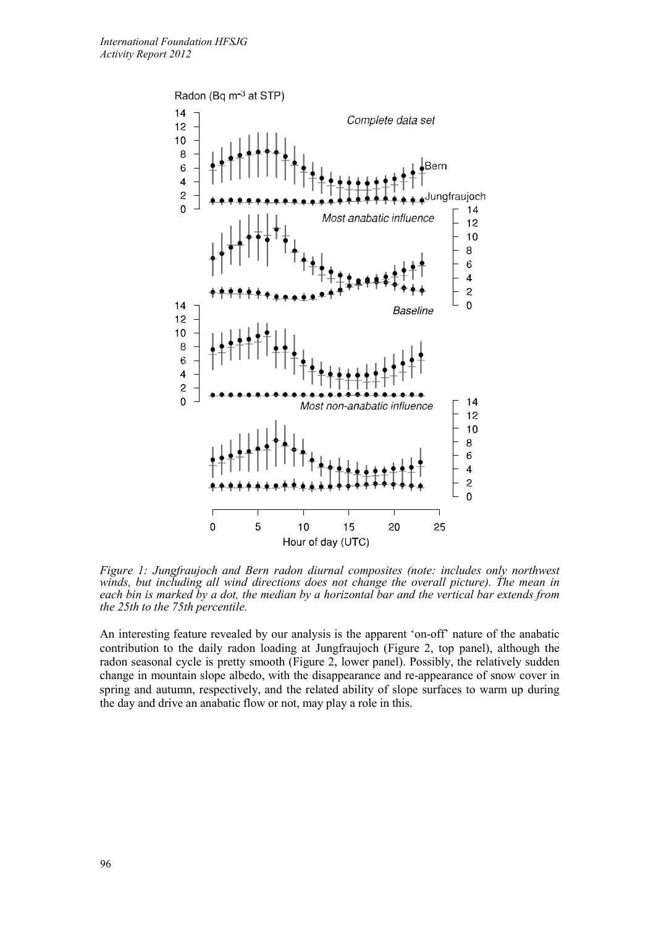

*Figure 1: Jungfraujoch and Bern radon diurnal composites (note: includes only northwest winds, but including all wind directions does not change the overall picture). The mean in each bin is marked by a dot, the median by a horizontal bar and the vertical bar extends from the 25th to the 75th percentile.*

An interesting feature revealed by our analysis is the apparent 'on-off' nature of the anabatic contribution to the daily radon loading at Jungfraujoch (Figure 2, top panel), although the radon seasonal cycle is pretty smooth (Figure 2, lower panel). Possibly, the relatively sudden change in mountain slope albedo, with the disappearance and re-appearance of snow cover in spring and autumn, respectively, and the related ability of slope surfaces to warm up during the day and drive an anabatic flow or not, may play a role in this.